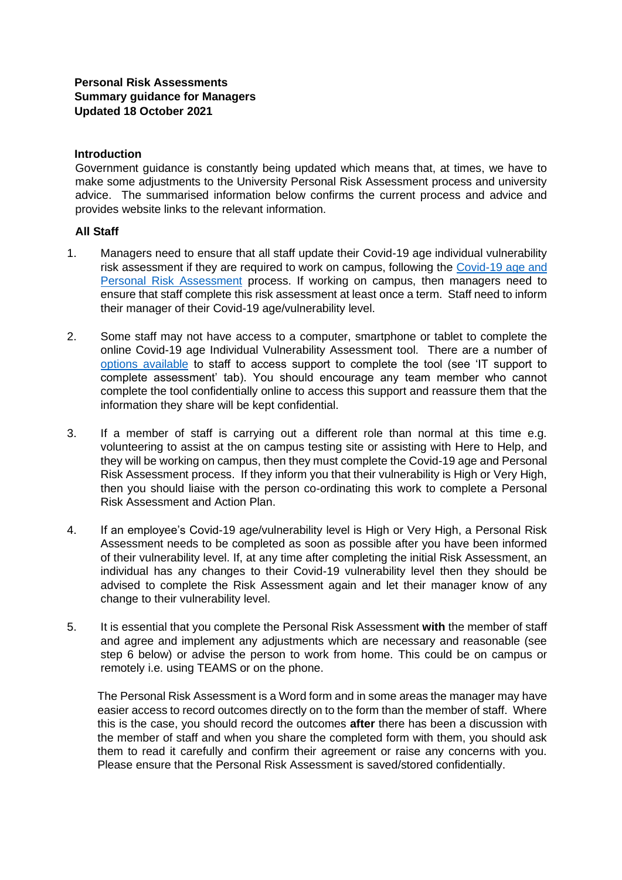## **Personal Risk Assessments Summary guidance for Managers Updated 18 October 2021**

### **Introduction**

Government guidance is constantly being updated which means that, at times, we have to make some adjustments to the University Personal Risk Assessment process and university advice. The summarised information below confirms the current process and advice and provides website links to the relevant information.

### **All Staff**

- 1. Managers need to ensure that all staff update their Covid-19 age individual vulnerability risk assessment if they are required to work on campus, following the [Covid-19 age and](https://www.exeter.ac.uk/staff/employment/coronavirus/personalriskassessment/) [Personal Risk Assessment](https://www.exeter.ac.uk/staff/employment/coronavirus/personalriskassessment/) process. If working on campus, then managers need to ensure that staff complete this risk assessment at least once a term. Staff need to inform their manager of their Covid-19 age/vulnerability level.
- 2. Some staff may not have access to a computer, smartphone or tablet to complete the online Covid-19 age Individual Vulnerability Assessment tool. There are a number of [options available](https://www.exeter.ac.uk/staff/employment/coronavirus/personalriskassessment/) [t](https://www.exeter.ac.uk/staff/employment/coronavirus/personalriskassessment/)o staff to access support to complete the tool (see 'IT support to complete assessment' tab). You should encourage any team member who cannot complete the tool confidentially online to access this support and reassure them that the information they share will be kept confidential.
- 3. If a member of staff is carrying out a different role than normal at this time e.g. volunteering to assist at the on campus testing site or assisting with Here to Help, and they will be working on campus, then they must complete the Covid-19 age and Personal Risk Assessment process. If they inform you that their vulnerability is High or Very High, then you should liaise with the person co-ordinating this work to complete a Personal Risk Assessment and Action Plan.
- 4. If an employee's Covid-19 age/vulnerability level is High or Very High, a Personal Risk Assessment needs to be completed as soon as possible after you have been informed of their vulnerability level. If, at any time after completing the initial Risk Assessment, an individual has any changes to their Covid-19 vulnerability level then they should be advised to complete the Risk Assessment again and let their manager know of any change to their vulnerability level.
- 5. It is essential that you complete the Personal Risk Assessment **with** the member of staff and agree and implement any adjustments which are necessary and reasonable (see step 6 below) or advise the person to work from home. This could be on campus or remotely i.e. using TEAMS or on the phone.

The Personal Risk Assessment is a Word form and in some areas the manager may have easier access to record outcomes directly on to the form than the member of staff. Where this is the case, you should record the outcomes **after** there has been a discussion with the member of staff and when you share the completed form with them, you should ask them to read it carefully and confirm their agreement or raise any concerns with you. Please ensure that the Personal Risk Assessment is saved/stored confidentially.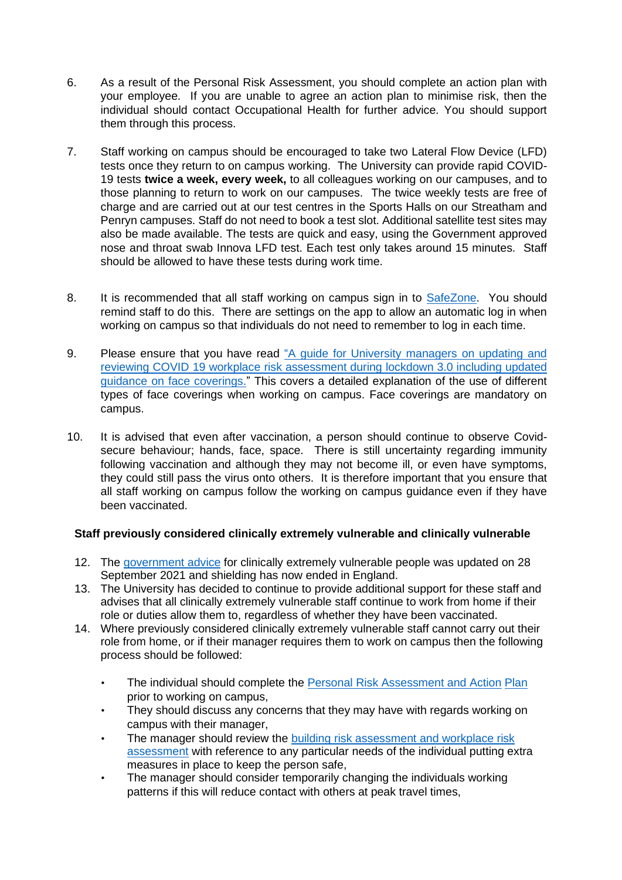- 6. As a result of the Personal Risk Assessment, you should complete an action plan with your employee. If you are unable to agree an action plan to minimise risk, then the individual should contact Occupational Health for further advice. You should support them through this process.
- 7. Staff working on campus should be encouraged to take two Lateral Flow Device (LFD) tests once they return to on campus working. The University can provide rapid COVID-19 tests **twice a week, every week,** to all colleagues working on our campuses, and to those planning to return to work on our campuses. The twice weekly tests are free of charge and are carried out at our test centres in the Sports Halls on our Streatham and Penryn campuses. Staff do not need to book a test slot. Additional satellite test sites may also be made available. The tests are quick and easy, using the Government approved nose and throat swab Innova LFD test. Each test only takes around 15 minutes. Staff should be allowed to have these tests during work time.
- 8. It is recommended that all staff working on campus sign in to [SafeZone.](https://www.exeter.ac.uk/staff/wellbeing/safety/safetyguidance/covid-19-safe-working/#tab3) You should remind staff to do this. There are settings on the app to allow an automatic log in when working on campus so that individuals do not need to remember to log in each time.
- 9. Please ensure that you have read ["A guide for University managers on updating and](http://www.exeter.ac.uk/staff/wellbeing/safety/safetyguidance/covid-19-safe-working/#tab2) [reviewing COVID 19 workplace risk assessment during lockdown 3.0 including updated](http://www.exeter.ac.uk/staff/wellbeing/safety/safetyguidance/covid-19-safe-working/#tab2) [guidance on face coverings."](http://www.exeter.ac.uk/staff/wellbeing/safety/safetyguidance/covid-19-safe-working/#tab2) This covers a detailed explanation of the use of different types of face coverings when working on campus. Face coverings are mandatory on campus.
- 10. It is advised that even after vaccination, a person should continue to observe Covidsecure behaviour; hands, face, space. There is still uncertainty regarding immunity following vaccination and although they may not become ill, or even have symptoms, they could still pass the virus onto others. It is therefore important that you ensure that all staff working on campus follow the working on campus guidance even if they have been vaccinated.

# **Staff previously considered clinically extremely vulnerable and clinically vulnerable**

- 12. Th[e](https://www.gov.uk/government/publications/guidance-on-shielding-and-protecting-extremely-vulnerable-persons-from-covid-19/guidance-on-shielding-and-protecting-extremely-vulnerable-persons-from-covid-19) government advic[e](https://www.gov.uk/government/publications/guidance-on-shielding-and-protecting-extremely-vulnerable-persons-from-covid-19/guidance-on-shielding-and-protecting-extremely-vulnerable-persons-from-covid-19) for clinically extremely vulnerable people was updated on 28 September 2021 and shielding has now ended in England.
- 13. The University has decided to continue to provide additional support for these staff and advises that all clinically extremely vulnerable staff continue to work from home if their role or duties allow them to, regardless of whether they have been vaccinated.
- 14. Where previously considered clinically extremely vulnerable staff cannot carry out their role from home, or if their manager requires them to work on campus then the following process should be followed:
	- Th[e](https://www.exeter.ac.uk/staff/employment/coronavirus/personalriskassessment/#a0) individual should complete the [Personal Risk Assessment and Action](https://www.exeter.ac.uk/staff/employment/coronavirus/personalriskassessment/#a0) [Plan](https://www.exeter.ac.uk/staff/employment/coronavirus/personalriskassessment/#a0) prior to working on campus,
	- They should discuss any concerns that they may have with regards working on campus with their manager,
	- The manager should review the [building risk assessment and workplace risk](https://content.exeter.ac.uk/terminalfour/SiteManager?ctfn=hierarchy&fnno=10&sid=221665&cid=801789&lang=en&sslinkid=1) [assessment](https://content.exeter.ac.uk/terminalfour/SiteManager?ctfn=hierarchy&fnno=10&sid=221665&cid=801789&lang=en&sslinkid=1) with reference to any particular needs of the individual putting extra measures in place to keep the person safe,
	- The manager should consider temporarily changing the individuals working patterns if this will reduce contact with others at peak travel times,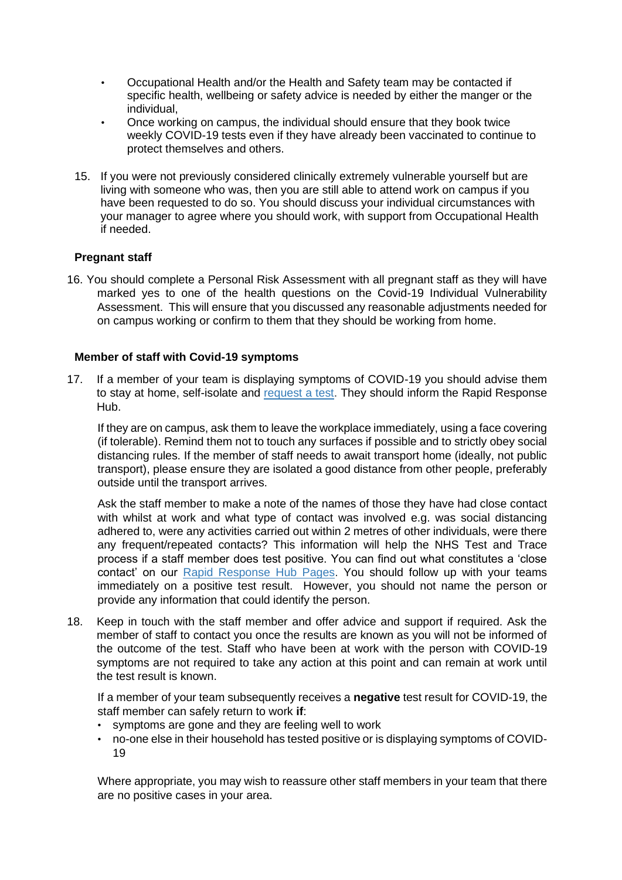- Occupational Health and/or the Health and Safety team may be contacted if specific health, wellbeing or safety advice is needed by either the manger or the individual,
- Once working on campus, the individual should ensure that they book twice weekly COVID-19 tests even if they have already been vaccinated to continue to protect themselves and others.
- 15. If you were not previously considered clinically extremely vulnerable yourself but are living with someone who was, then you are still able to attend work on campus if you have been requested to do so. You should discuss your individual circumstances with your manager to agree where you should work, with support from Occupational Health if needed.

## **Pregnant staff**

16. You should complete a Personal Risk Assessment with all pregnant staff as they will have marked yes to one of the health questions on the Covid-19 Individual Vulnerability Assessment. This will ensure that you discussed any reasonable adjustments needed for on campus working or confirm to them that they should be working from home.

### **Member of staff with Covid-19 symptoms**

17. If a member of your team is displaying symptoms of COVID-19 you should advise them to stay at home, self-isolate an[d](https://www.exeter.ac.uk/coronavirus/rapid-response/) [request a test.](https://www.exeter.ac.uk/coronavirus/rapid-response/) They should inform the Rapid Response Hub.

If they are on campus, ask them to leave the workplace immediately, using a face covering (if tolerable). Remind them not to touch any surfaces if possible and to strictly obey social distancing rules. If the member of staff needs to await transport home (ideally, not public transport), please ensure they are isolated a good distance from other people, preferably outside until the transport arrives.

Ask the staff member to make a note of the names of those they have had close contact with whilst at work and what type of contact was involved e.g. was social distancing adhered to, were any activities carried out within 2 metres of other individuals, were there any frequent/repeated contacts? This information will help the NHS Test and Trace process if a staff member does test positive. You can find out what constitutes a 'close contact' on ou[r](https://www.exeter.ac.uk/coronavirus/rapid-response/#a16) [Rapid Response Hub Pages.](https://www.exeter.ac.uk/coronavirus/rapid-response/#a16) You should follow up with your teams immediately on a positive test result. However, you should not name the person or provide any information that could identify the person.

18. Keep in touch with the staff member and offer advice and support if required. Ask the member of staff to contact you once the results are known as you will not be informed of the outcome of the test. Staff who have been at work with the person with COVID-19 symptoms are not required to take any action at this point and can remain at work until the test result is known.

If a member of your team subsequently receives a **negative** test result for COVID-19, the staff member can safely return to work **if**:

- symptoms are gone and they are feeling well to work
- no-one else in their household has tested positive or is displaying symptoms of COVID-19

Where appropriate, you may wish to reassure other staff members in your team that there are no positive cases in your area.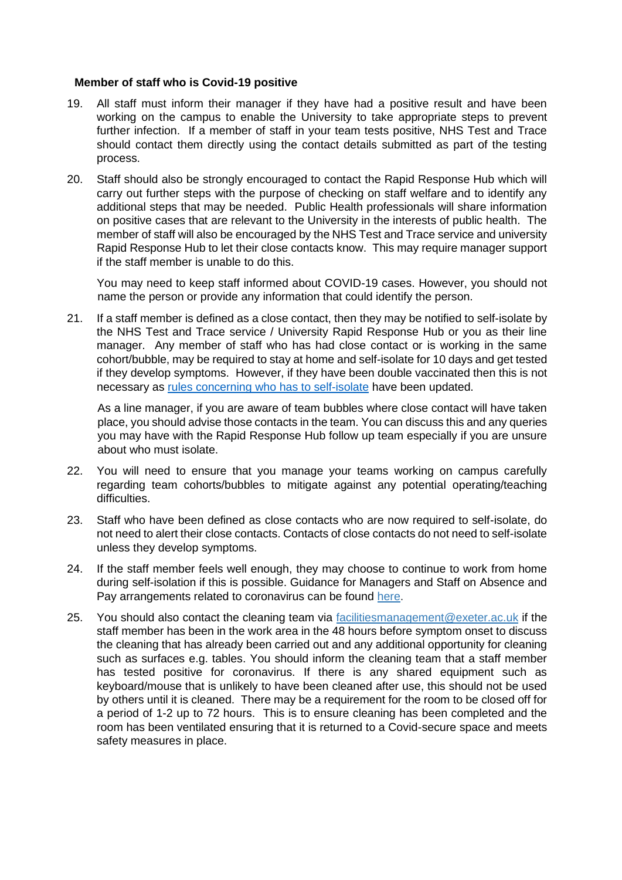### **Member of staff who is Covid-19 positive**

- 19. All staff must inform their manager if they have had a positive result and have been working on the campus to enable the University to take appropriate steps to prevent further infection. If a member of staff in your team tests positive, NHS Test and Trace should contact them directly using the contact details submitted as part of the testing process.
- 20. Staff should also be strongly encouraged to contact the Rapid Response Hub which will carry out further steps with the purpose of checking on staff welfare and to identify any additional steps that may be needed. Public Health professionals will share information on positive cases that are relevant to the University in the interests of public health. The member of staff will also be encouraged by the NHS Test and Trace service and university Rapid Response Hub to let their close contacts know. This may require manager support if the staff member is unable to do this.

You may need to keep staff informed about COVID-19 cases. However, you should not name the person or provide any information that could identify the person.

21. If a staff member is defined as a close contact, then they may be notified to self-isolate by the NHS Test and Trace service / University Rapid Response Hub or you as their line manager. Any member of staff who has had close contact or is working in the same cohort/bubble, may be required to stay at home and self-isolate for 10 days and get tested if they develop symptoms. However, if they have been double vaccinated then this is not necessary as [rules concerning who has to self-isolate](https://www.nhs.uk/conditions/coronavirus-covid-19/self-isolation-and-treatment/when-to-self-isolate-and-what-to-do/) have been updated.

As a line manager, if you are aware of team bubbles where close contact will have taken place, you should advise those contacts in the team. You can discuss this and any queries you may have with the Rapid Response Hub follow up team especially if you are unsure about who must isolate.

- 22. You will need to ensure that you manage your teams working on campus carefully regarding team cohorts/bubbles to mitigate against any potential operating/teaching difficulties.
- 23. Staff who have been defined as close contacts who are now required to self-isolate, do not need to alert their close contacts. Contacts of close contacts do not need to self-isolate unless they develop symptoms.
- 24. If the staff member feels well enough, they may choose to continue to work from home during self-isolation if this is possible. Guidance for Managers and Staff on Absence and Pay arrangements related to coronavirus can be foun[d](https://www.exeter.ac.uk/coronavirus/staff/pay/) [here.](https://www.exeter.ac.uk/coronavirus/staff/pay/)
- 25. You should also contact the cleaning team via facilitiesmanagement@exeter.ac.uk if the staff member has been in the work area in the 48 hours before symptom onset to discuss the cleaning that has already been carried out and any additional opportunity for cleaning such as surfaces e.g. tables. You should inform the cleaning team that a staff member has tested positive for coronavirus. If there is any shared equipment such as keyboard/mouse that is unlikely to have been cleaned after use, this should not be used by others until it is cleaned. There may be a requirement for the room to be closed off for a period of 1-2 up to 72 hours. This is to ensure cleaning has been completed and the room has been ventilated ensuring that it is returned to a Covid-secure space and meets safety measures in place.